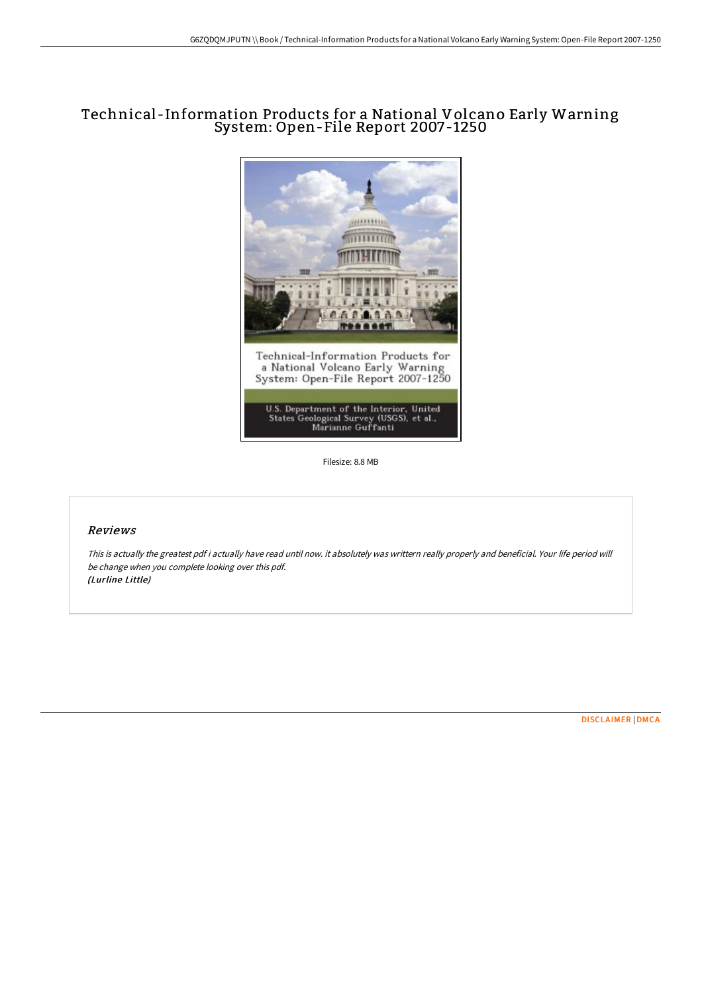# Technical -Information Products for a National Volcano Early Warning System: Open-File Report 2007-1250



Filesize: 8.8 MB

## Reviews

This is actually the greatest pdf i actually have read until now. it absolutely was writtern really properly and beneficial. Your life period will be change when you complete looking over this pdf. (Lurline Little)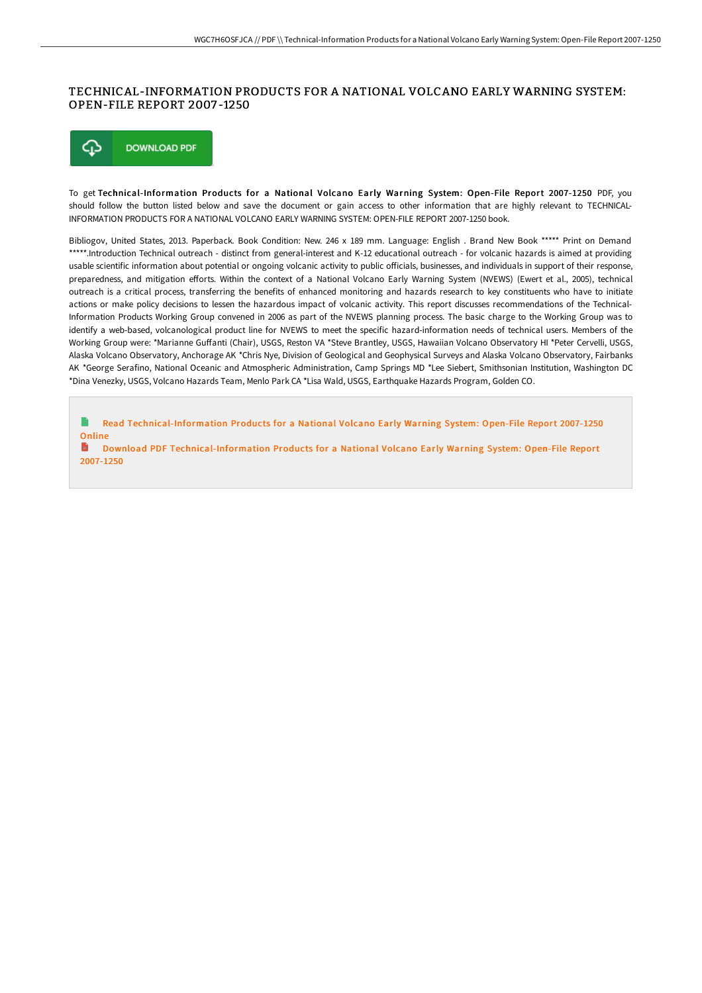# TECHNICAL-INFORMATION PRODUCTS FOR A NATIONAL VOLCANO EARLY WARNING SYSTEM: OPEN-FILE REPORT 2007 -1250



To get Technical-Information Products for a National Volcano Early Warning System: Open-File Report 2007-1250 PDF, you should follow the button listed below and save the document or gain access to other information that are highly relevant to TECHNICAL-INFORMATION PRODUCTS FOR A NATIONAL VOLCANO EARLY WARNING SYSTEM: OPEN-FILE REPORT 2007-1250 book.

Bibliogov, United States, 2013. Paperback. Book Condition: New. 246 x 189 mm. Language: English . Brand New Book \*\*\*\*\* Print on Demand \*\*\*\*\*.Introduction Technical outreach - distinct from general-interest and K-12 educational outreach - for volcanic hazards is aimed at providing usable scientific information about potential or ongoing volcanic activity to public oGicials, businesses, and individuals in support of their response, preparedness, and mitigation efforts. Within the context of a National Volcano Early Warning System (NVEWS) (Ewert et al., 2005), technical outreach is a critical process, transferring the benefits of enhanced monitoring and hazards research to key constituents who have to initiate actions or make policy decisions to lessen the hazardous impact of volcanic activity. This report discusses recommendations of the Technical-Information Products Working Group convened in 2006 as part of the NVEWS planning process. The basic charge to the Working Group was to identify a web-based, volcanological product line for NVEWS to meet the specific hazard-information needs of technical users. Members of the Working Group were: \*Marianne Guffanti (Chair), USGS, Reston VA \*Steve Brantley, USGS, Hawaiian Volcano Observatory HI \*Peter Cervelli, USGS, Alaska Volcano Observatory, Anchorage AK \*Chris Nye, Division of Geological and Geophysical Surveys and Alaska Volcano Observatory, Fairbanks AK \*George Serafino, National Oceanic and Atmospheric Administration, Camp Springs MD \*Lee Siebert, Smithsonian Institution, Washington DC \*Dina Venezky, USGS, Volcano Hazards Team, Menlo Park CA \*Lisa Wald, USGS, Earthquake Hazards Program, Golden CO.

 $\blacksquare$ Read [Technical-Information](http://albedo.media/technical-information-products-for-a-national-vo.html) Products for a National Volcano Early Warning System: Open-File Report 2007-1250 **Online** 

h Download PDF [Technical-Information](http://albedo.media/technical-information-products-for-a-national-vo.html) Products for a National Volcano Early Warning System: Open-File Report 2007-1250